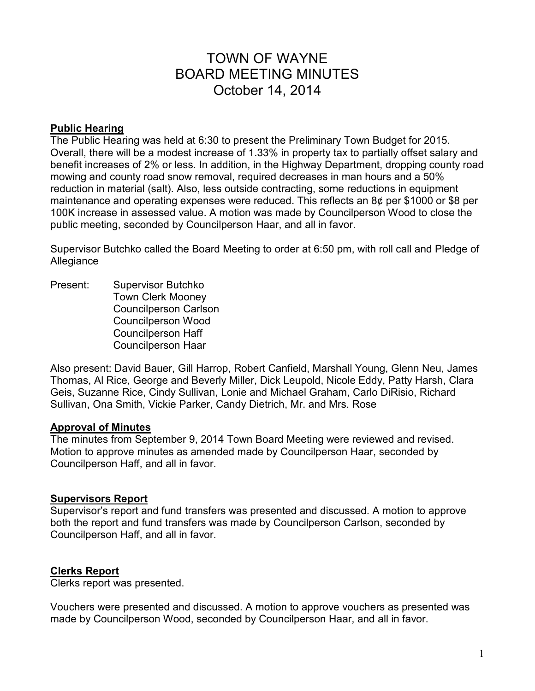# TOWN OF WAYNE BOARD MEETING MINUTES October 14, 2014

### **Public Hearing**

The Public Hearing was held at 6:30 to present the Preliminary Town Budget for 2015. Overall, there will be a modest increase of 1.33% in property tax to partially offset salary and benefit increases of 2% or less. In addition, in the Highway Department, dropping county road mowing and county road snow removal, required decreases in man hours and a 50% reduction in material (salt). Also, less outside contracting, some reductions in equipment maintenance and operating expenses were reduced. This reflects an 8¢ per \$1000 or \$8 per 100K increase in assessed value. A motion was made by Councilperson Wood to close the public meeting, seconded by Councilperson Haar, and all in favor.

Supervisor Butchko called the Board Meeting to order at 6:50 pm, with roll call and Pledge of Allegiance

Present: Supervisor Butchko Town Clerk Mooney Councilperson Carlson Councilperson Wood Councilperson Haff Councilperson Haar

Also present: David Bauer, Gill Harrop, Robert Canfield, Marshall Young, Glenn Neu, James Thomas, Al Rice, George and Beverly Miller, Dick Leupold, Nicole Eddy, Patty Harsh, Clara Geis, Suzanne Rice, Cindy Sullivan, Lonie and Michael Graham, Carlo DiRisio, Richard Sullivan, Ona Smith, Vickie Parker, Candy Dietrich, Mr. and Mrs. Rose

### **Approval of Minutes**

The minutes from September 9, 2014 Town Board Meeting were reviewed and revised. Motion to approve minutes as amended made by Councilperson Haar, seconded by Councilperson Haff, and all in favor.

### **Supervisors Report**

Supervisor's report and fund transfers was presented and discussed. A motion to approve both the report and fund transfers was made by Councilperson Carlson, seconded by Councilperson Haff, and all in favor.

### **Clerks Report**

Clerks report was presented.

Vouchers were presented and discussed. A motion to approve vouchers as presented was made by Councilperson Wood, seconded by Councilperson Haar, and all in favor.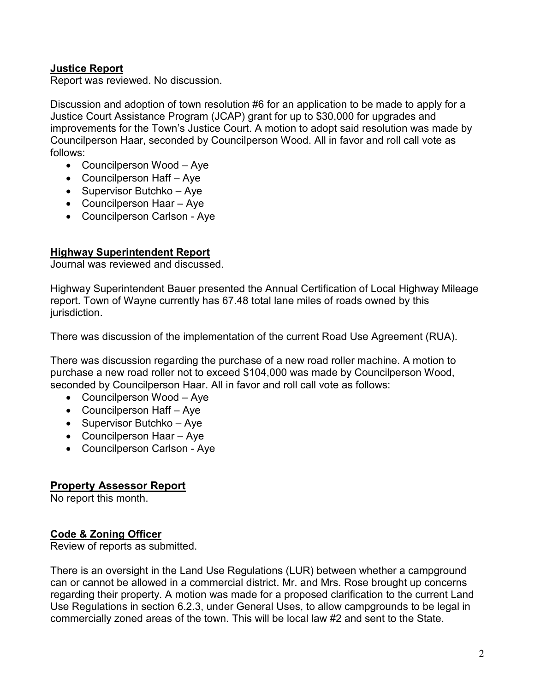# **Justice Report**

Report was reviewed. No discussion.

Discussion and adoption of town resolution #6 for an application to be made to apply for a Justice Court Assistance Program (JCAP) grant for up to \$30,000 for upgrades and improvements for the Town's Justice Court. A motion to adopt said resolution was made by Councilperson Haar, seconded by Councilperson Wood. All in favor and roll call vote as follows:

- Councilperson Wood Aye
- Councilperson Haff Aye
- Supervisor Butchko Aye
- Councilperson Haar Aye
- Councilperson Carlson Aye

# **Highway Superintendent Report**

Journal was reviewed and discussed.

Highway Superintendent Bauer presented the Annual Certification of Local Highway Mileage report. Town of Wayne currently has 67.48 total lane miles of roads owned by this jurisdiction.

There was discussion of the implementation of the current Road Use Agreement (RUA).

There was discussion regarding the purchase of a new road roller machine. A motion to purchase a new road roller not to exceed \$104,000 was made by Councilperson Wood, seconded by Councilperson Haar. All in favor and roll call vote as follows:

- Councilperson Wood Aye
- Councilperson Haff Aye
- Supervisor Butchko Aye
- Councilperson Haar Aye
- Councilperson Carlson Aye

# **Property Assessor Report**

No report this month.

# **Code & Zoning Officer**

Review of reports as submitted.

There is an oversight in the Land Use Regulations (LUR) between whether a campground can or cannot be allowed in a commercial district. Mr. and Mrs. Rose brought up concerns regarding their property. A motion was made for a proposed clarification to the current Land Use Regulations in section 6.2.3, under General Uses, to allow campgrounds to be legal in commercially zoned areas of the town. This will be local law #2 and sent to the State.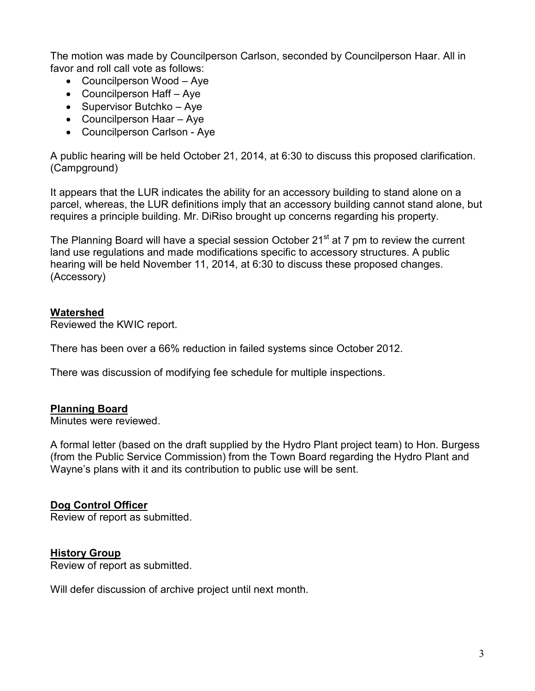The motion was made by Councilperson Carlson, seconded by Councilperson Haar. All in favor and roll call vote as follows:

- Councilperson Wood Aye
- Councilperson Haff Aye
- Supervisor Butchko Aye
- Councilperson Haar Aye
- Councilperson Carlson Aye

A public hearing will be held October 21, 2014, at 6:30 to discuss this proposed clarification. (Campground)

It appears that the LUR indicates the ability for an accessory building to stand alone on a parcel, whereas, the LUR definitions imply that an accessory building cannot stand alone, but requires a principle building. Mr. DiRiso brought up concerns regarding his property.

The Planning Board will have a special session October 21<sup>st</sup> at 7 pm to review the current land use regulations and made modifications specific to accessory structures. A public hearing will be held November 11, 2014, at 6:30 to discuss these proposed changes. (Accessory)

# **Watershed**

Reviewed the KWIC report.

There has been over a 66% reduction in failed systems since October 2012.

There was discussion of modifying fee schedule for multiple inspections.

### **Planning Board**

Minutes were reviewed.

A formal letter (based on the draft supplied by the Hydro Plant project team) to Hon. Burgess (from the Public Service Commission) from the Town Board regarding the Hydro Plant and Wayne's plans with it and its contribution to public use will be sent.

### **Dog Control Officer**

Review of report as submitted.

### **History Group**

Review of report as submitted.

Will defer discussion of archive project until next month.